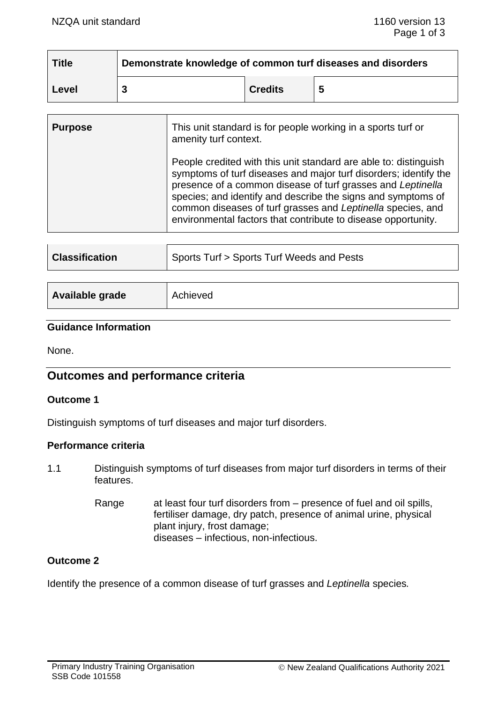| <b>Title</b> | Demonstrate knowledge of common turf diseases and disorders |                |  |
|--------------|-------------------------------------------------------------|----------------|--|
| Level        |                                                             | <b>Credits</b> |  |

| <b>Purpose</b> | This unit standard is for people working in a sports turf or<br>amenity turf context.                                                                                                                                                                                                                                                                                                               |
|----------------|-----------------------------------------------------------------------------------------------------------------------------------------------------------------------------------------------------------------------------------------------------------------------------------------------------------------------------------------------------------------------------------------------------|
|                | People credited with this unit standard are able to: distinguish<br>symptoms of turf diseases and major turf disorders; identify the<br>presence of a common disease of turf grasses and Leptinella<br>species; and identify and describe the signs and symptoms of<br>common diseases of turf grasses and Leptinella species, and<br>environmental factors that contribute to disease opportunity. |

| <b>Classification</b> | Sports Turf > Sports Turf Weeds and Pests |  |
|-----------------------|-------------------------------------------|--|
| Available grade       | Achieved                                  |  |

# **Guidance Information**

None.

# **Outcomes and performance criteria**

#### **Outcome 1**

Distinguish symptoms of turf diseases and major turf disorders.

#### **Performance criteria**

- 1.1 Distinguish symptoms of turf diseases from major turf disorders in terms of their features.
	- Range at least four turf disorders from presence of fuel and oil spills, fertiliser damage, dry patch, presence of animal urine, physical plant injury, frost damage; diseases – infectious, non-infectious.

#### **Outcome 2**

Identify the presence of a common disease of turf grasses and *Leptinella* species*.*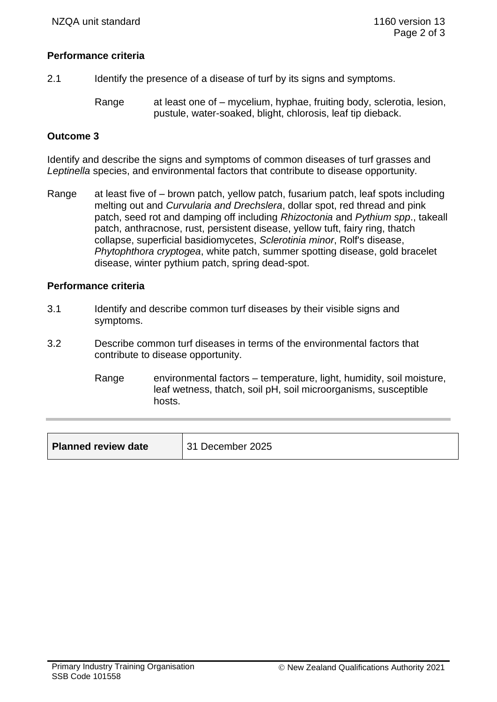#### **Performance criteria**

- 2.1 Identify the presence of a disease of turf by its signs and symptoms.
	- Range at least one of mycelium, hyphae, fruiting body, sclerotia, lesion, pustule, water-soaked, blight, chlorosis, leaf tip dieback.

### **Outcome 3**

Identify and describe the signs and symptoms of common diseases of turf grasses and *Leptinella* species, and environmental factors that contribute to disease opportunity*.*

Range at least five of – brown patch, yellow patch, fusarium patch, leaf spots including melting out and *Curvularia and Drechslera*, dollar spot, red thread and pink patch, seed rot and damping off including *Rhizoctonia* and *Pythium spp*., takeall patch, anthracnose, rust, persistent disease, yellow tuft, fairy ring, thatch collapse, superficial basidiomycetes, *Sclerotinia minor*, Rolf's disease, *Phytophthora cryptogea*, white patch, summer spotting disease, gold bracelet disease, winter pythium patch, spring dead-spot.

#### **Performance criteria**

- 3.1 Identify and describe common turf diseases by their visible signs and symptoms.
- 3.2 Describe common turf diseases in terms of the environmental factors that contribute to disease opportunity.
	- Range environmental factors temperature, light, humidity, soil moisture, leaf wetness, thatch, soil pH, soil microorganisms, susceptible hosts.

| <b>Planned review date</b> | 31 December 2025 |
|----------------------------|------------------|
|----------------------------|------------------|